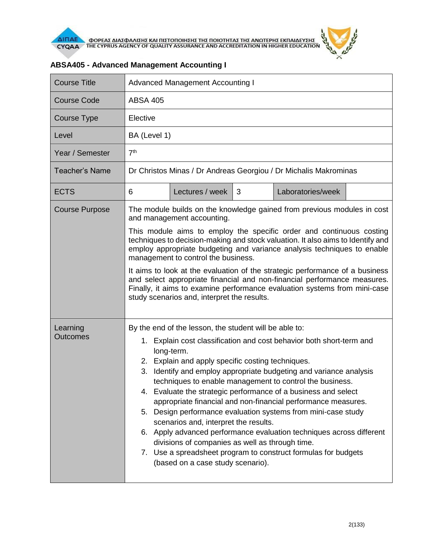

| <b>Course Title</b>         | <b>Advanced Management Accounting I</b>                                                                                                                                                                                                                                                                                                                                                                                                                                                                                                                                                                                                                                                                                                                                                                                     |  |  |  |  |
|-----------------------------|-----------------------------------------------------------------------------------------------------------------------------------------------------------------------------------------------------------------------------------------------------------------------------------------------------------------------------------------------------------------------------------------------------------------------------------------------------------------------------------------------------------------------------------------------------------------------------------------------------------------------------------------------------------------------------------------------------------------------------------------------------------------------------------------------------------------------------|--|--|--|--|
| <b>Course Code</b>          | <b>ABSA 405</b>                                                                                                                                                                                                                                                                                                                                                                                                                                                                                                                                                                                                                                                                                                                                                                                                             |  |  |  |  |
| Course Type                 | Elective                                                                                                                                                                                                                                                                                                                                                                                                                                                                                                                                                                                                                                                                                                                                                                                                                    |  |  |  |  |
| Level                       | BA (Level 1)                                                                                                                                                                                                                                                                                                                                                                                                                                                                                                                                                                                                                                                                                                                                                                                                                |  |  |  |  |
| Year / Semester             | 7 <sup>th</sup>                                                                                                                                                                                                                                                                                                                                                                                                                                                                                                                                                                                                                                                                                                                                                                                                             |  |  |  |  |
| Teacher's Name              | Dr Christos Minas / Dr Andreas Georgiou / Dr Michalis Makrominas                                                                                                                                                                                                                                                                                                                                                                                                                                                                                                                                                                                                                                                                                                                                                            |  |  |  |  |
| <b>ECTS</b>                 | 6<br>Lectures / week<br>3<br>Laboratories/week                                                                                                                                                                                                                                                                                                                                                                                                                                                                                                                                                                                                                                                                                                                                                                              |  |  |  |  |
| <b>Course Purpose</b>       | The module builds on the knowledge gained from previous modules in cost<br>and management accounting.                                                                                                                                                                                                                                                                                                                                                                                                                                                                                                                                                                                                                                                                                                                       |  |  |  |  |
|                             | This module aims to employ the specific order and continuous costing<br>techniques to decision-making and stock valuation. It also aims to Identify and<br>employ appropriate budgeting and variance analysis techniques to enable<br>management to control the business.<br>It aims to look at the evaluation of the strategic performance of a business<br>and select appropriate financial and non-financial performance measures.<br>Finally, it aims to examine performance evaluation systems from mini-case<br>study scenarios and, interpret the results.                                                                                                                                                                                                                                                           |  |  |  |  |
| Learning<br><b>Outcomes</b> | By the end of the lesson, the student will be able to:<br>Explain cost classification and cost behavior both short-term and<br>1.<br>long-term.<br>2. Explain and apply specific costing techniques.<br>Identify and employ appropriate budgeting and variance analysis<br>3.<br>techniques to enable management to control the business.<br>4. Evaluate the strategic performance of a business and select<br>appropriate financial and non-financial performance measures.<br>Design performance evaluation systems from mini-case study<br>5.<br>scenarios and, interpret the results.<br>6. Apply advanced performance evaluation techniques across different<br>divisions of companies as well as through time.<br>7. Use a spreadsheet program to construct formulas for budgets<br>(based on a case study scenario). |  |  |  |  |

## **ABSA405 - Advanced Management Accounting I**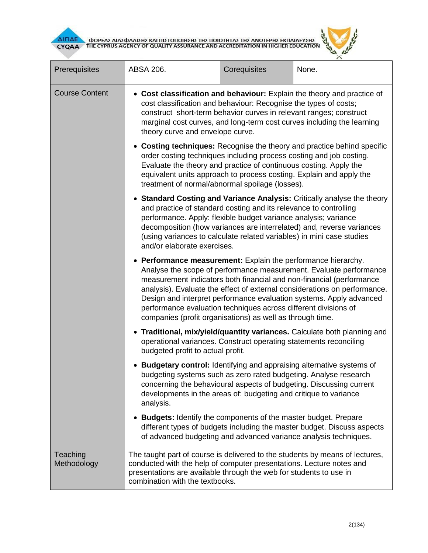



| Prerequisites           | ABSA 206.                                                                                                                                                                                                                                                                                                                                                                                                                                                                                       | Corequisites | None.                                                                    |  |
|-------------------------|-------------------------------------------------------------------------------------------------------------------------------------------------------------------------------------------------------------------------------------------------------------------------------------------------------------------------------------------------------------------------------------------------------------------------------------------------------------------------------------------------|--------------|--------------------------------------------------------------------------|--|
| <b>Course Content</b>   | • Cost classification and behaviour: Explain the theory and practice of<br>cost classification and behaviour: Recognise the types of costs;<br>construct short-term behavior curves in relevant ranges; construct<br>marginal cost curves, and long-term cost curves including the learning<br>theory curve and envelope curve.                                                                                                                                                                 |              |                                                                          |  |
|                         | • Costing techniques: Recognise the theory and practice behind specific<br>order costing techniques including process costing and job costing.<br>Evaluate the theory and practice of continuous costing. Apply the<br>equivalent units approach to process costing. Explain and apply the<br>treatment of normal/abnormal spoilage (losses).                                                                                                                                                   |              |                                                                          |  |
|                         | • Standard Costing and Variance Analysis: Critically analyse the theory<br>and practice of standard costing and its relevance to controlling<br>performance. Apply: flexible budget variance analysis; variance<br>decomposition (how variances are interrelated) and, reverse variances<br>(using variances to calculate related variables) in mini case studies<br>and/or elaborate exercises.                                                                                                |              |                                                                          |  |
|                         | • Performance measurement: Explain the performance hierarchy.<br>Analyse the scope of performance measurement. Evaluate performance<br>measurement indicators both financial and non-financial (performance<br>analysis). Evaluate the effect of external considerations on performance.<br>Design and interpret performance evaluation systems. Apply advanced<br>performance evaluation techniques across different divisions of<br>companies (profit organisations) as well as through time. |              |                                                                          |  |
|                         | operational variances. Construct operating statements reconciling<br>budgeted profit to actual profit.                                                                                                                                                                                                                                                                                                                                                                                          |              | • Traditional, mix/yield/quantity variances. Calculate both planning and |  |
|                         | • Budgetary control: Identifying and appraising alternative systems of<br>budgeting systems such as zero rated budgeting. Analyse research<br>concerning the behavioural aspects of budgeting. Discussing current<br>developments in the areas of: budgeting and critique to variance<br>analysis.                                                                                                                                                                                              |              |                                                                          |  |
|                         | <b>Budgets:</b> Identify the components of the master budget. Prepare<br>of advanced budgeting and advanced variance analysis techniques.                                                                                                                                                                                                                                                                                                                                                       |              | different types of budgets including the master budget. Discuss aspects  |  |
| Teaching<br>Methodology | The taught part of course is delivered to the students by means of lectures,<br>conducted with the help of computer presentations. Lecture notes and<br>presentations are available through the web for students to use in<br>combination with the textbooks.                                                                                                                                                                                                                                   |              |                                                                          |  |